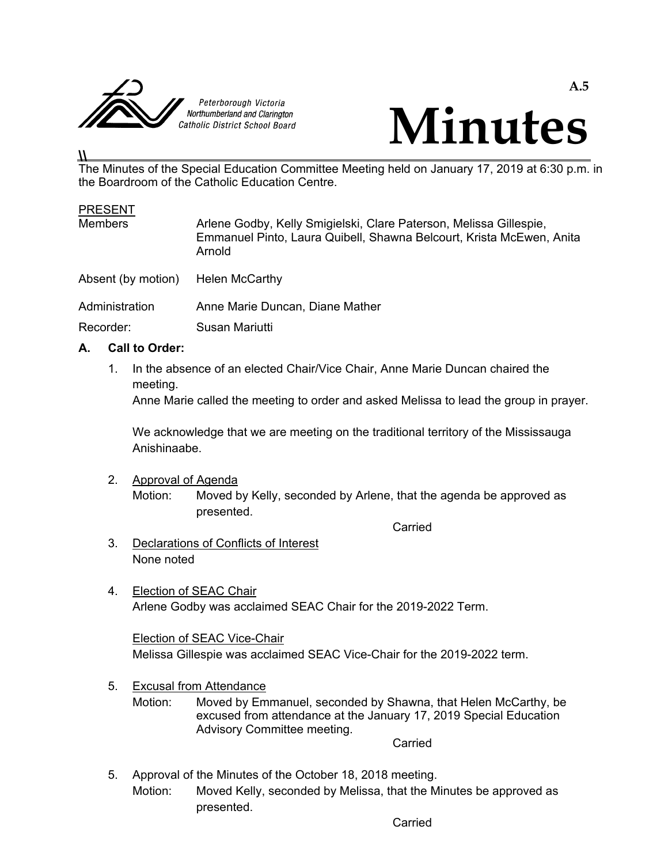



# **\\**

The Minutes of the Special Education Committee Meeting held on January 17, 2019 at 6:30 p.m. in the Boardroom of the Catholic Education Centre.

#### PRESENT

| <b>Members</b>              | Arlene Godby, Kelly Smigielski, Clare Paterson, Melissa Gillespie,<br>Emmanuel Pinto, Laura Quibell, Shawna Belcourt, Krista McEwen, Anita<br>Arnold |  |
|-----------------------------|------------------------------------------------------------------------------------------------------------------------------------------------------|--|
| Absent (by motion)          | Helen McCarthy                                                                                                                                       |  |
| Administration<br>Recorder: | Anne Marie Duncan, Diane Mather<br>Susan Mariutti                                                                                                    |  |

## **A. Call to Order:**

 1. In the absence of an elected Chair/Vice Chair, Anne Marie Duncan chaired the meeting.

Anne Marie called the meeting to order and asked Melissa to lead the group in prayer.

 We acknowledge that we are meeting on the traditional territory of the Mississauga Anishinaabe.

#### 2. Approval of Agenda

 Motion: Moved by Kelly, seconded by Arlene, that the agenda be approved as presented.

**Carried Carried Carried Carried Carried** 

- 3. Declarations of Conflicts of Interest None noted
- 4. Election of SEAC Chair Arlene Godby was acclaimed SEAC Chair for the 2019-2022 Term.

 Election of SEAC Vice-Chair Melissa Gillespie was acclaimed SEAC Vice-Chair for the 2019-2022 term.

- 5. Excusal from Attendance
	- Motion: Moved by Emmanuel, seconded by Shawna, that Helen McCarthy, be excused from attendance at the January 17, 2019 Special Education Advisory Committee meeting.

**Carried Carried Carried Carried Carried Carried Carried Carried Carried Carried Carried Carried Carried Carried Carried Carried Carried Carried Carried Carried Carried Carried Carried Carried Carried Carried Carried Carri** 

 5. Approval of the Minutes of the October 18, 2018 meeting. Motion: Moved Kelly, seconded by Melissa, that the Minutes be approved as presented.

**Carried Carried Carried Carried Carried Carried Carried Carried Carried Carried Carried Carried Carried Carried Carried Carried Carried Carried Carried Carried Carried Carried Carried Carried Carried Carried Carried Carri**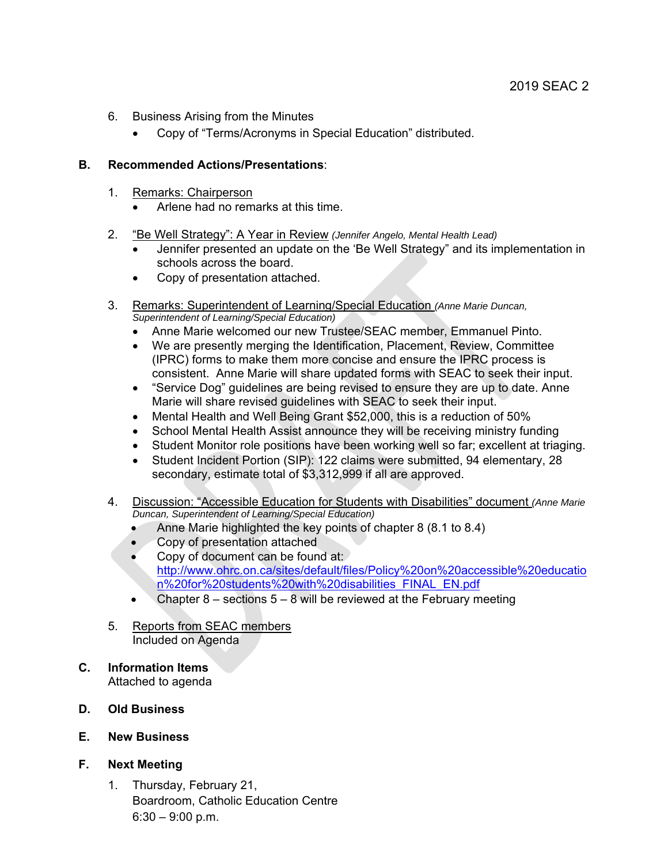- 6. Business Arising from the Minutes
	- Copy of "Terms/Acronyms in Special Education" distributed.

### **B. Recommended Actions/Presentations**:

- 1. Remarks: Chairperson
	- Arlene had no remarks at this time.
- 2. "Be Well Strategy": A Year in Review *(Jennifer Angelo, Mental Health Lead)*
	- Jennifer presented an update on the 'Be Well Strategy" and its implementation in schools across the board.
	- Copy of presentation attached.
- 3. Remarks: Superintendent of Learning/Special Education *(Anne Marie Duncan, Superintendent of Learning/Special Education)* 
	- Anne Marie welcomed our new Trustee/SEAC member, Emmanuel Pinto.
	- We are presently merging the Identification, Placement, Review, Committee (IPRC) forms to make them more concise and ensure the IPRC process is consistent. Anne Marie will share updated forms with SEAC to seek their input.
	- "Service Dog" guidelines are being revised to ensure they are up to date. Anne Marie will share revised guidelines with SEAC to seek their input.
	- Mental Health and Well Being Grant \$52,000, this is a reduction of 50%
	- School Mental Health Assist announce they will be receiving ministry funding
	- Student Monitor role positions have been working well so far; excellent at triaging.
	- Student Incident Portion (SIP): 122 claims were submitted, 94 elementary, 28 secondary, estimate total of \$3,312,999 if all are approved.
- 4. Discussion: "Accessible Education for Students with Disabilities" document *(Anne Marie Duncan, Superintendent of Learning/Special Education)* 
	- Anne Marie highlighted the key points of chapter 8 (8.1 to 8.4)
	- Copy of presentation attached
	- Copy of document can be found at: http://www.ohrc.on.ca/sites/default/files/Policy%20on%20accessible%20educatio n%20for%20students%20with%20disabilities\_FINAL\_EN.pdf
	- Chapter  $8$  sections  $5 8$  will be reviewed at the February meeting
- 5. Reports from SEAC members Included on Agenda
- **C. Information Items**  Attached to agenda
- **D. Old Business**
- **E. New Business**
- **F. Next Meeting**
	- 1. Thursday, February 21, Boardroom, Catholic Education Centre  $6:30 - 9:00$  p.m.